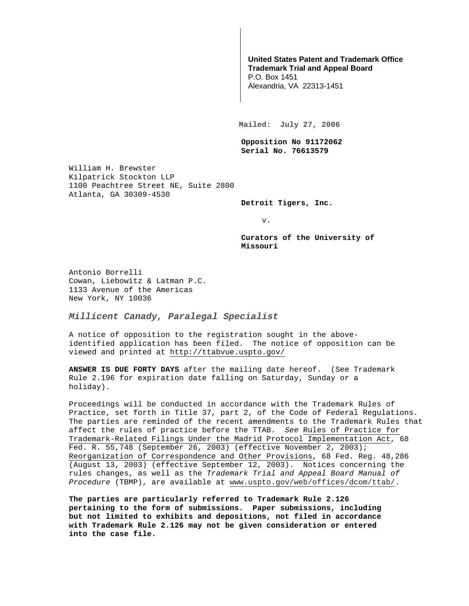## **United States Patent and Trademark Office Trademark Trial and Appeal Board**

P.O. Box 1451 Alexandria, VA 22313-1451

**Mailed: July 27, 2006** 

**Opposition No 91172062 Serial No. 76613579** 

William H. Brewster Kilpatrick Stockton LLP 1100 Peachtree Street NE, Suite 2800 Atlanta, GA 30309-4530

**Detroit Tigers, Inc.** 

v.

**Curators of the University of Missouri** 

Antonio Borrelli Cowan, Liebowitz & Latman P.C. 1133 Avenue of the Americas New York, NY 10036

**Millicent Canady, Paralegal Specialist**

A notice of opposition to the registration sought in the aboveidentified application has been filed. The notice of opposition can be viewed and printed at http://ttabvue.uspto.gov/

**ANSWER IS DUE FORTY DAYS** after the mailing date hereof. (See Trademark Rule 2.196 for expiration date falling on Saturday, Sunday or a holiday).

Proceedings will be conducted in accordance with the Trademark Rules of Practice, set forth in Title 37, part 2, of the Code of Federal Regulations. The parties are reminded of the recent amendments to the Trademark Rules that affect the rules of practice before the TTAB. See Rules of Practice for Trademark-Related Filings Under the Madrid Protocol Implementation Act, 68 Fed. R. 55,748 (September 26, 2003) (effective November 2, 2003); Reorganization of Correspondence and Other Provisions, 68 Fed. Reg. 48,286 (August 13, 2003) (effective September 12, 2003). Notices concerning the rules changes, as well as the Trademark Trial and Appeal Board Manual of Procedure (TBMP), are available at www.uspto.gov/web/offices/dcom/ttab/.

**The parties are particularly referred to Trademark Rule 2.126 pertaining to the form of submissions. Paper submissions, including but not limited to exhibits and depositions, not filed in accordance with Trademark Rule 2.126 may not be given consideration or entered into the case file.**